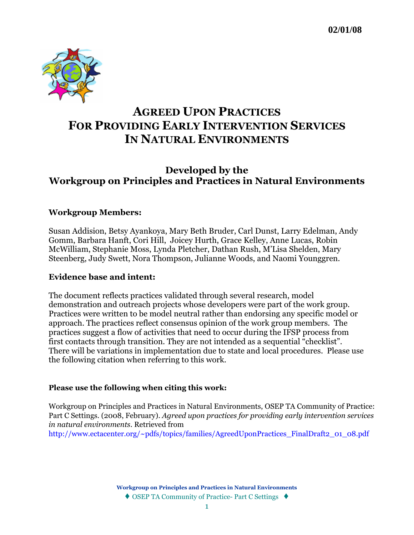

# **AGREED UPON PRACTICES FOR PROVIDING EARLY INTERVENTION SERVICES IN NATURAL ENVIRONMENTS**

### **Developed by the Workgroup on Principles and Practices in Natural Environments**

### **Workgroup Members:**

Susan Addision, Betsy Ayankoya, Mary Beth Bruder, Carl Dunst, Larry Edelman, Andy Gomm, Barbara Hanft, Cori Hill, Joicey Hurth, Grace Kelley, Anne Lucas, Robin McWilliam, Stephanie Moss, Lynda Pletcher, Dathan Rush, M'Lisa Shelden, Mary Steenberg, Judy Swett, Nora Thompson, Julianne Woods, and Naomi Younggren.

#### **Evidence base and intent:**

The document reflects practices validated through several research, model demonstration and outreach projects whose developers were part of the work group. Practices were written to be model neutral rather than endorsing any specific model or approach. The practices reflect consensus opinion of the work group members. The practices suggest a flow of activities that need to occur during the IFSP process from first contacts through transition. They are not intended as a sequential "checklist". There will be variations in implementation due to state and local procedures. Please use the following citation when referring to this work.

#### **Please use the following when citing this work:**

Workgroup on Principles and Practices in Natural Environments, OSEP TA Community of Practice: Part C Settings. (2008, February). *Agreed upon practices for providing early intervention services in natural environments*. Retrieved from http://www.ectacenter.org/~pdfs/topics/[families/AgreedUponPractices\\_FinalDraft2\\_01\\_08.pdf](http://www.ectacenter.org/~pdfs/topics/families/AgreedUponPractices_FinalDraft2_01_08.pdf)

> **Workgroup on Principles and Practices in Natural Environments** ♦ OSEP TA Community of Practice- Part C Settings ♦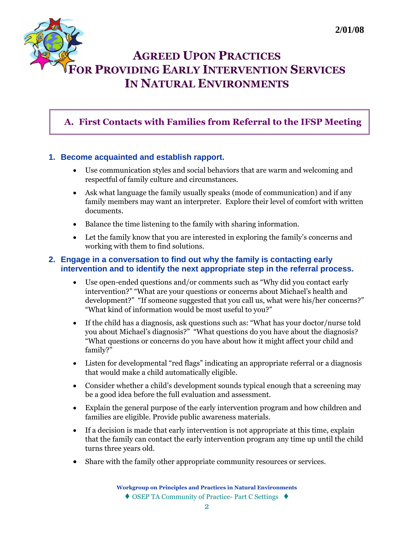

## **A. First Contacts with Families from Referral to the IFSP Meeting**

#### **1. Become acquainted and establish rapport.**

- Use communication styles and social behaviors that are warm and welcoming and respectful of family culture and circumstances.
- Ask what language the family usually speaks (mode of communication) and if any family members may want an interpreter. Explore their level of comfort with written documents.
- Balance the time listening to the family with sharing information.
- Let the family know that you are interested in exploring the family's concerns and working with them to find solutions.

#### **2. Engage in a conversation to find out why the family is contacting early intervention and to identify the next appropriate step in the referral process.**

- Use open-ended questions and/or comments such as "Why did you contact early intervention?" "What are your questions or concerns about Michael's health and development?" "If someone suggested that you call us, what were his/her concerns?" "What kind of information would be most useful to you?"
- If the child has a diagnosis, ask questions such as: "What has your doctor/nurse told you about Michael's diagnosis?" "What questions do you have about the diagnosis? "What questions or concerns do you have about how it might affect your child and family?"
- Listen for developmental "red flags" indicating an appropriate referral or a diagnosis that would make a child automatically eligible.
- Consider whether a child's development sounds typical enough that a screening may be a good idea before the full evaluation and assessment.
- Explain the general purpose of the early intervention program and how children and families are eligible. Provide public awareness materials.
- If a decision is made that early intervention is not appropriate at this time, explain that the family can contact the early intervention program any time up until the child turns three years old.
- Share with the family other appropriate community resources or services.

**Workgroup on Principles and Practices in Natural Environments**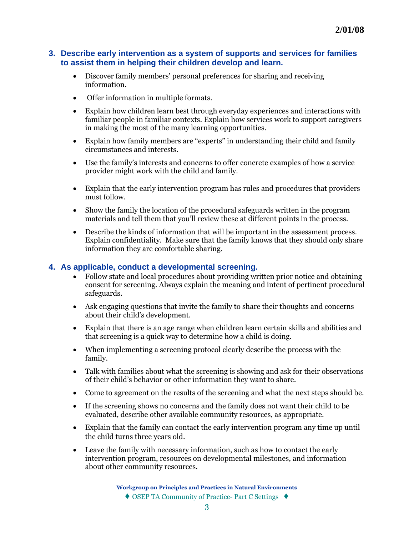#### **3. Describe early intervention as a system of supports and services for families to assist them in helping their children develop and learn.**

- Discover family members' personal preferences for sharing and receiving information.
- Offer information in multiple formats.
- Explain how children learn best through everyday experiences and interactions with familiar people in familiar contexts. Explain how services work to support caregivers in making the most of the many learning opportunities.
- Explain how family members are "experts" in understanding their child and family circumstances and interests.
- Use the family's interests and concerns to offer concrete examples of how a service provider might work with the child and family.
- Explain that the early intervention program has rules and procedures that providers must follow.
- Show the family the location of the procedural safeguards written in the program materials and tell them that you'll review these at different points in the process.
- Describe the kinds of information that will be important in the assessment process. Explain confidentiality. Make sure that the family knows that they should only share information they are comfortable sharing.

#### **4. As applicable, conduct a developmental screening.**

- Follow state and local procedures about providing written prior notice and obtaining consent for screening. Always explain the meaning and intent of pertinent procedural safeguards.
- Ask engaging questions that invite the family to share their thoughts and concerns about their child's development.
- Explain that there is an age range when children learn certain skills and abilities and that screening is a quick way to determine how a child is doing.
- When implementing a screening protocol clearly describe the process with the family.
- Talk with families about what the screening is showing and ask for their observations of their child's behavior or other information they want to share.
- Come to agreement on the results of the screening and what the next steps should be.
- If the screening shows no concerns and the family does not want their child to be evaluated, describe other available community resources, as appropriate.
- Explain that the family can contact the early intervention program any time up until the child turns three years old.
- Leave the family with necessary information, such as how to contact the early intervention program, resources on developmental milestones, and information about other community resources.

**Workgroup on Principles and Practices in Natural Environments**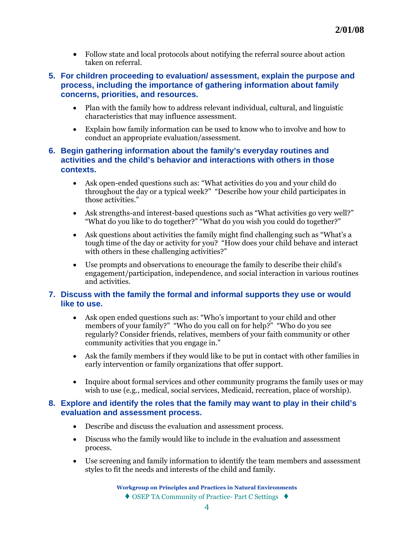- Follow state and local protocols about notifying the referral source about action taken on referral.
- **5. For children proceeding to evaluation/ assessment, explain the purpose and process, including the importance of gathering information about family concerns, priorities, and resources.** 
	- Plan with the family how to address relevant individual, cultural, and linguistic characteristics that may influence assessment.
	- Explain how family information can be used to know who to involve and how to conduct an appropriate evaluation/assessment.
- **6. Begin gathering information about the family's everyday routines and activities and the child's behavior and interactions with others in those contexts.** 
	- Ask open-ended questions such as: "What activities do you and your child do throughout the day or a typical week?" "Describe how your child participates in those activities."
	- Ask strengths-and interest-based questions such as "What activities go very well?" "What do you like to do together?" "What do you wish you could do together?"
	- Ask questions about activities the family might find challenging such as "What's a tough time of the day or activity for you? "How does your child behave and interact with others in these challenging activities?"
	- Use prompts and observations to encourage the family to describe their child's engagement/participation, independence, and social interaction in various routines and activities.

#### **7. Discuss with the family the formal and informal supports they use or would like to use.**

- Ask open ended questions such as: "Who's important to your child and other members of your family?" "Who do you call on for help?" "Who do you see regularly? Consider friends, relatives, members of your faith community or other community activities that you engage in."
- Ask the family members if they would like to be put in contact with other families in early intervention or family organizations that offer support.
- Inquire about formal services and other community programs the family uses or may wish to use (e.g., medical, social services, Medicaid, recreation, place of worship).

#### **8. Explore and identify the roles that the family may want to play in their child's evaluation and assessment process.**

- Describe and discuss the evaluation and assessment process.
- Discuss who the family would like to include in the evaluation and assessment process.
- Use screening and family information to identify the team members and assessment styles to fit the needs and interests of the child and family.

**Workgroup on Principles and Practices in Natural Environments**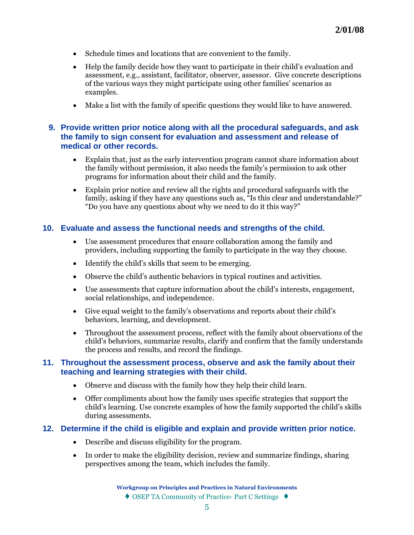- Schedule times and locations that are convenient to the family.
- Help the family decide how they want to participate in their child's evaluation and assessment, e.g., assistant, facilitator, observer, assessor. Give concrete descriptions of the various ways they might participate using other families' scenarios as examples.
- Make a list with the family of specific questions they would like to have answered.

#### **9. Provide written prior notice along with all the procedural safeguards, and ask the family to sign consent for evaluation and assessment and release of medical or other records.**

- Explain that, just as the early intervention program cannot share information about the family without permission, it also needs the family's permission to ask other programs for information about their child and the family.
- Explain prior notice and review all the rights and procedural safeguards with the family, asking if they have any questions such as, "Is this clear and understandable?" "Do you have any questions about why we need to do it this way?"

#### **10. Evaluate and assess the functional needs and strengths of the child.**

- Use assessment procedures that ensure collaboration among the family and providers, including supporting the family to participate in the way they choose.
- Identify the child's skills that seem to be emerging.
- Observe the child's authentic behaviors in typical routines and activities.
- Use assessments that capture information about the child's interests, engagement, social relationships, and independence.
- Give equal weight to the family's observations and reports about their child's behaviors, learning, and development.
- Throughout the assessment process, reflect with the family about observations of the child's behaviors, summarize results, clarify and confirm that the family understands the process and results, and record the findings.

#### **11. Throughout the assessment process, observe and ask the family about their teaching and learning strategies with their child.**

- Observe and discuss with the family how they help their child learn.
- Offer compliments about how the family uses specific strategies that support the child's learning. Use concrete examples of how the family supported the child's skills during assessments.

#### **12. Determine if the child is eligible and explain and provide written prior notice.**

- Describe and discuss eligibility for the program.
- In order to make the eligibility decision, review and summarize findings, sharing perspectives among the team, which includes the family.

**Workgroup on Principles and Practices in Natural Environments**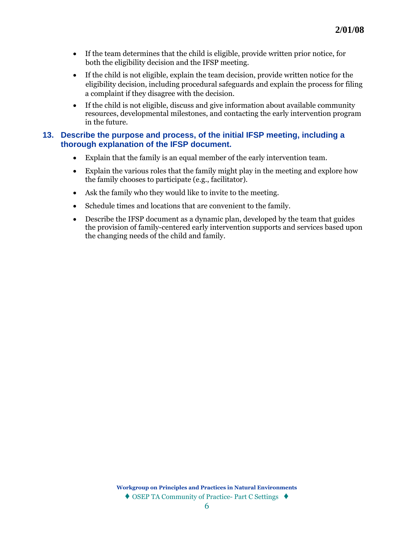- If the team determines that the child is eligible, provide written prior notice, for both the eligibility decision and the IFSP meeting.
- If the child is not eligible, explain the team decision, provide written notice for the eligibility decision, including procedural safeguards and explain the process for filing a complaint if they disagree with the decision.
- If the child is not eligible, discuss and give information about available community resources, developmental milestones, and contacting the early intervention program in the future.

#### **13. Describe the purpose and process, of the initial IFSP meeting, including a thorough explanation of the IFSP document.**

- Explain that the family is an equal member of the early intervention team.
- Explain the various roles that the family might play in the meeting and explore how the family chooses to participate (e.g., facilitator).
- Ask the family who they would like to invite to the meeting.
- Schedule times and locations that are convenient to the family.
- Describe the IFSP document as a dynamic plan, developed by the team that guides the provision of family-centered early intervention supports and services based upon the changing needs of the child and family.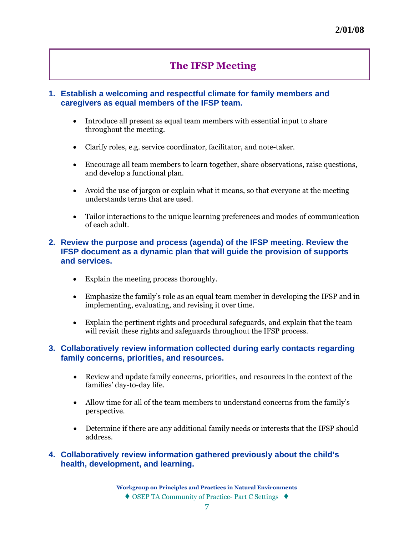## **The IFSP Meeting**

#### **1. Establish a welcoming and respectful climate for family members and caregivers as equal members of the IFSP team.**

- Introduce all present as equal team members with essential input to share throughout the meeting.
- Clarify roles, e.g. service coordinator, facilitator, and note-taker.
- Encourage all team members to learn together, share observations, raise questions, and develop a functional plan.
- Avoid the use of jargon or explain what it means, so that everyone at the meeting understands terms that are used.
- Tailor interactions to the unique learning preferences and modes of communication of each adult.

#### **2. Review the purpose and process (agenda) of the IFSP meeting. Review the IFSP document as a dynamic plan that will guide the provision of supports and services.**

- Explain the meeting process thoroughly.
- Emphasize the family's role as an equal team member in developing the IFSP and in implementing, evaluating, and revising it over time.
- Explain the pertinent rights and procedural safeguards, and explain that the team will revisit these rights and safeguards throughout the IFSP process.

#### **3. Collaboratively review information collected during early contacts regarding family concerns, priorities, and resources.**

- Review and update family concerns, priorities, and resources in the context of the families' day-to-day life.
- Allow time for all of the team members to understand concerns from the family's perspective.
- Determine if there are any additional family needs or interests that the IFSP should address.

#### **4. Collaboratively review information gathered previously about the child's health, development, and learning.**

#### **Workgroup on Principles and Practices in Natural Environments**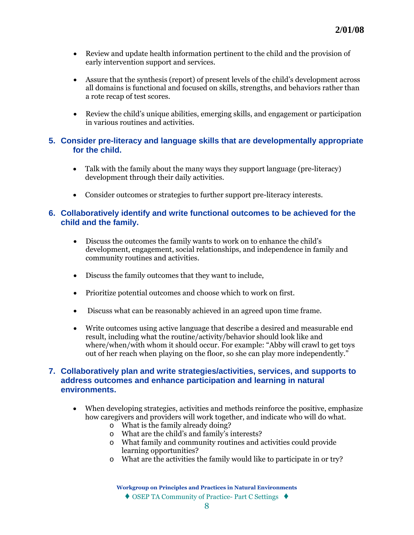- Review and update health information pertinent to the child and the provision of early intervention support and services.
- Assure that the synthesis (report) of present levels of the child's development across all domains is functional and focused on skills, strengths, and behaviors rather than a rote recap of test scores.
- Review the child's unique abilities, emerging skills, and engagement or participation in various routines and activities.

#### **5. Consider pre-literacy and language skills that are developmentally appropriate for the child.**

- Talk with the family about the many ways they support language (pre-literacy) development through their daily activities.
- Consider outcomes or strategies to further support pre-literacy interests.

#### **6. Collaboratively identify and write functional outcomes to be achieved for the child and the family.**

- Discuss the outcomes the family wants to work on to enhance the child's development, engagement, social relationships, and independence in family and community routines and activities.
- Discuss the family outcomes that they want to include,
- Prioritize potential outcomes and choose which to work on first.
- Discuss what can be reasonably achieved in an agreed upon time frame.
- Write outcomes using active language that describe a desired and measurable end result, including what the routine/activity/behavior should look like and where/when/with whom it should occur. For example: "Abby will crawl to get toys out of her reach when playing on the floor, so she can play more independently."

#### **7. Collaboratively plan and write strategies/activities, services, and supports to address outcomes and enhance participation and learning in natural environments.**

- When developing strategies, activities and methods reinforce the positive, emphasize how caregivers and providers will work together, and indicate who will do what.
	- o What is the family already doing?
	- o What are the child's and family's interests?
	- o What family and community routines and activities could provide learning opportunities?
	- o What are the activities the family would like to participate in or try?

**Workgroup on Principles and Practices in Natural Environments**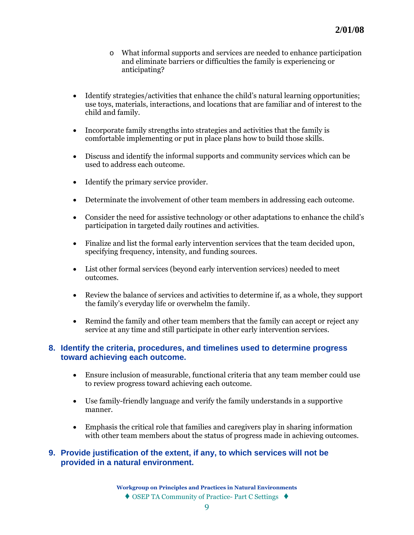- o What informal supports and services are needed to enhance participation and eliminate barriers or difficulties the family is experiencing or anticipating?
- Identify strategies/activities that enhance the child's natural learning opportunities; use toys, materials, interactions, and locations that are familiar and of interest to the child and family.
- Incorporate family strengths into strategies and activities that the family is comfortable implementing or put in place plans how to build those skills.
- Discuss and identify the informal supports and community services which can be used to address each outcome.
- Identify the primary service provider.
- Determinate the involvement of other team members in addressing each outcome.
- Consider the need for assistive technology or other adaptations to enhance the child's participation in targeted daily routines and activities.
- Finalize and list the formal early intervention services that the team decided upon, specifying frequency, intensity, and funding sources.
- List other formal services (beyond early intervention services) needed to meet outcomes.
- Review the balance of services and activities to determine if, as a whole, they support the family's everyday life or overwhelm the family.
- Remind the family and other team members that the family can accept or reject any service at any time and still participate in other early intervention services.

#### **8. Identify the criteria, procedures, and timelines used to determine progress toward achieving each outcome.**

- Ensure inclusion of measurable, functional criteria that any team member could use to review progress toward achieving each outcome.
- Use family-friendly language and verify the family understands in a supportive manner.
- Emphasis the critical role that families and caregivers play in sharing information with other team members about the status of progress made in achieving outcomes.

#### **9. Provide justification of the extent, if any, to which services will not be provided in a natural environment.**

**Workgroup on Principles and Practices in Natural Environments**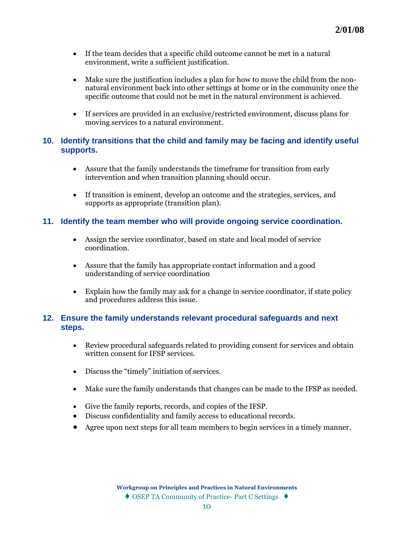- If the team decides that a specific child outcome cannot be met in a natural environment, write a sufficient justification.
- Make sure the justification includes a plan for how to move the child from the nonnatural environment back into other settings at home or in the community once the specific outcome that could not be met in the natural environment is achieved.
- If services are provided in an exclusive/restricted environment, discuss plans for moving services to a natural environment.

#### **10. Identify transitions that the child and family may be facing and identify useful supports.**

- Assure that the family understands the timeframe for transition from early intervention and when transition planning should occur.
- If transition is eminent, develop an outcome and the strategies, services, and supports as appropriate (transition plan).

#### **11. Identify the team member who will provide ongoing service coordination.**

- Assign the service coordinator, based on state and local model of service coordination.
- Assure that the family has appropriate contact information and a good understanding of service coordination
- Explain how the family may ask for a change in service coordinator, if state policy and procedures address this issue.

#### **12. Ensure the family understands relevant procedural safeguards and next steps.**

- Review procedural safeguards related to providing consent for services and obtain written consent for IFSP services.
- Discuss the "timely" initiation of services.
- Make sure the family understands that changes can be made to the IFSP as needed.
- Give the family reports, records, and copies of the IFSP.
- Discuss confidentiality and family access to educational records.
- Agree upon next steps for all team members to begin services in a timely manner.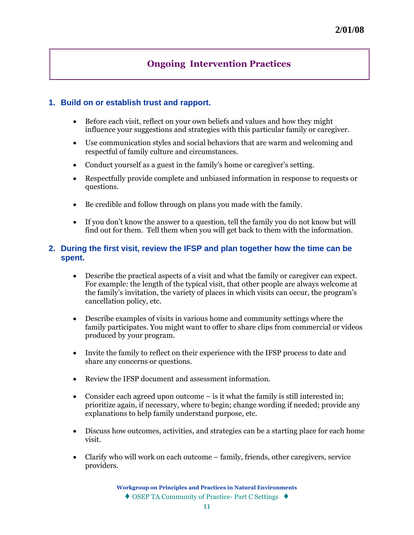### **Ongoing Intervention Practices**

#### **1. Build on or establish trust and rapport.**

- Before each visit, reflect on your own beliefs and values and how they might influence your suggestions and strategies with this particular family or caregiver.
- Use communication styles and social behaviors that are warm and welcoming and respectful of family culture and circumstances.
- Conduct yourself as a guest in the family's home or caregiver's setting.
- Respectfully provide complete and unbiased information in response to requests or questions.
- Be credible and follow through on plans you made with the family.
- If you don't know the answer to a question, tell the family you do not know but will find out for them. Tell them when you will get back to them with the information.

#### **2. During the first visit, review the IFSP and plan together how the time can be spent.**

- Describe the practical aspects of a visit and what the family or caregiver can expect. For example: the length of the typical visit, that other people are always welcome at the family's invitation, the variety of places in which visits can occur, the program's cancellation policy, etc.
- Describe examples of visits in various home and community settings where the family participates. You might want to offer to share clips from commercial or videos produced by your program.
- Invite the family to reflect on their experience with the IFSP process to date and share any concerns or questions.
- Review the IFSP document and assessment information.
- Consider each agreed upon outcome is it what the family is still interested in; prioritize again, if necessary, where to begin; change wording if needed; provide any explanations to help family understand purpose, etc.
- Discuss how outcomes, activities, and strategies can be a starting place for each home visit.
- Clarify who will work on each outcome family, friends, other caregivers, service providers.

**Workgroup on Principles and Practices in Natural Environments**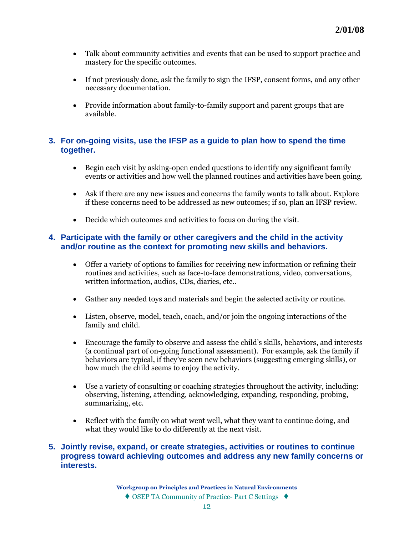- Talk about community activities and events that can be used to support practice and mastery for the specific outcomes.
- If not previously done, ask the family to sign the IFSP, consent forms, and any other necessary documentation.
- Provide information about family-to-family support and parent groups that are available.

### **3. For on-going visits, use the IFSP as a guide to plan how to spend the time together.**

- Begin each visit by asking-open ended questions to identify any significant family events or activities and how well the planned routines and activities have been going.
- Ask if there are any new issues and concerns the family wants to talk about. Explore if these concerns need to be addressed as new outcomes; if so, plan an IFSP review.
- Decide which outcomes and activities to focus on during the visit.

#### **4. Participate with the family or other caregivers and the child in the activity and/or routine as the context for promoting new skills and behaviors.**

- Offer a variety of options to families for receiving new information or refining their routines and activities, such as face-to-face demonstrations, video, conversations, written information, audios, CDs, diaries, etc..
- Gather any needed toys and materials and begin the selected activity or routine.
- Listen, observe, model, teach, coach, and/or join the ongoing interactions of the family and child.
- Encourage the family to observe and assess the child's skills, behaviors, and interests (a continual part of on-going functional assessment). For example, ask the family if behaviors are typical, if they've seen new behaviors (suggesting emerging skills), or how much the child seems to enjoy the activity.
- Use a variety of consulting or coaching strategies throughout the activity, including: observing, listening, attending, acknowledging, expanding, responding, probing, summarizing, etc.
- Reflect with the family on what went well, what they want to continue doing, and what they would like to do differently at the next visit.

#### **5. Jointly revise, expand, or create strategies, activities or routines to continue progress toward achieving outcomes and address any new family concerns or interests.**

**Workgroup on Principles and Practices in Natural Environments**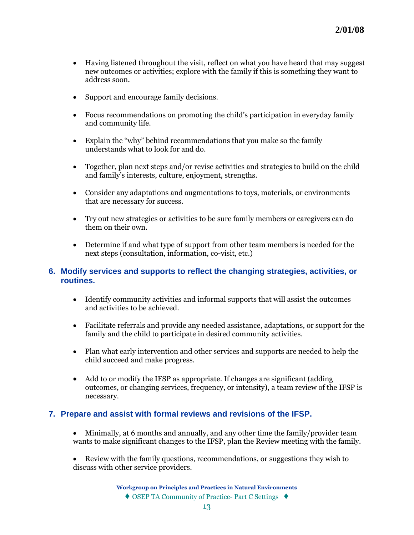- Having listened throughout the visit, reflect on what you have heard that may suggest new outcomes or activities; explore with the family if this is something they want to address soon.
- Support and encourage family decisions.
- Focus recommendations on promoting the child's participation in everyday family and community life.
- Explain the "why" behind recommendations that you make so the family understands what to look for and do.
- Together, plan next steps and/or revise activities and strategies to build on the child and family's interests, culture, enjoyment, strengths.
- Consider any adaptations and augmentations to toys, materials, or environments that are necessary for success.
- Try out new strategies or activities to be sure family members or caregivers can do them on their own.
- Determine if and what type of support from other team members is needed for the next steps (consultation, information, co-visit, etc.)

#### **6. Modify services and supports to reflect the changing strategies, activities, or routines.**

- Identify community activities and informal supports that will assist the outcomes and activities to be achieved.
- Facilitate referrals and provide any needed assistance, adaptations, or support for the family and the child to participate in desired community activities.
- Plan what early intervention and other services and supports are needed to help the child succeed and make progress.
- Add to or modify the IFSP as appropriate. If changes are significant (adding outcomes, or changing services, frequency, or intensity), a team review of the IFSP is necessary.

#### **7. Prepare and assist with formal reviews and revisions of the IFSP.**

- Minimally, at 6 months and annually, and any other time the family/provider team wants to make significant changes to the IFSP, plan the Review meeting with the family.
- Review with the family questions, recommendations, or suggestions they wish to discuss with other service providers.

**Workgroup on Principles and Practices in Natural Environments**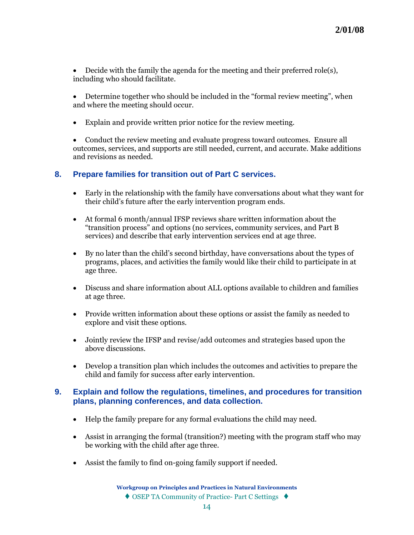• Decide with the family the agenda for the meeting and their preferred role(s), including who should facilitate.

• Determine together who should be included in the "formal review meeting", when and where the meeting should occur.

• Explain and provide written prior notice for the review meeting.

• Conduct the review meeting and evaluate progress toward outcomes. Ensure all outcomes, services, and supports are still needed, current, and accurate. Make additions and revisions as needed.

#### **8. Prepare families for transition out of Part C services.**

- Early in the relationship with the family have conversations about what they want for their child's future after the early intervention program ends.
- At formal 6 month/annual IFSP reviews share written information about the "transition process" and options (no services, community services, and Part B services) and describe that early intervention services end at age three.
- By no later than the child's second birthday, have conversations about the types of programs, places, and activities the family would like their child to participate in at age three.
- Discuss and share information about ALL options available to children and families at age three.
- Provide written information about these options or assist the family as needed to explore and visit these options.
- Jointly review the IFSP and revise/add outcomes and strategies based upon the above discussions.
- Develop a transition plan which includes the outcomes and activities to prepare the child and family for success after early intervention.

#### **9. Explain and follow the regulations, timelines, and procedures for transition plans, planning conferences, and data collection.**

- Help the family prepare for any formal evaluations the child may need.
- Assist in arranging the formal (transition?) meeting with the program staff who may be working with the child after age three.
- Assist the family to find on-going family support if needed.

**Workgroup on Principles and Practices in Natural Environments**